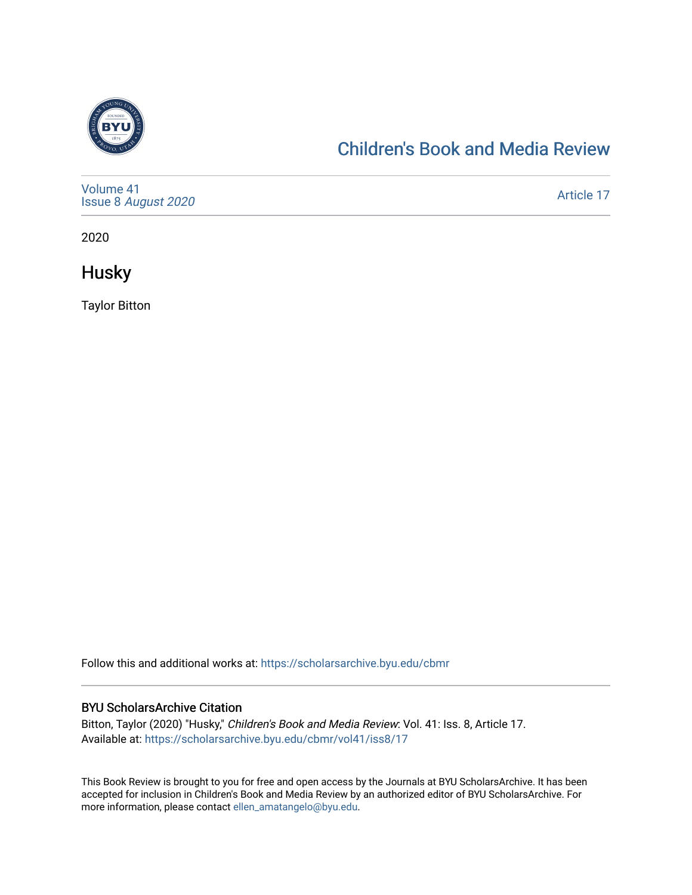

## [Children's Book and Media Review](https://scholarsarchive.byu.edu/cbmr)

| Volume 41<br>Issue 8 August 2020 | Article 17 |
|----------------------------------|------------|
|----------------------------------|------------|

2020

**Husky** 

Taylor Bitton

Follow this and additional works at: [https://scholarsarchive.byu.edu/cbmr](https://scholarsarchive.byu.edu/cbmr?utm_source=scholarsarchive.byu.edu%2Fcbmr%2Fvol41%2Fiss8%2F17&utm_medium=PDF&utm_campaign=PDFCoverPages) 

## BYU ScholarsArchive Citation

Bitton, Taylor (2020) "Husky," Children's Book and Media Review: Vol. 41: Iss. 8, Article 17. Available at: [https://scholarsarchive.byu.edu/cbmr/vol41/iss8/17](https://scholarsarchive.byu.edu/cbmr/vol41/iss8/17?utm_source=scholarsarchive.byu.edu%2Fcbmr%2Fvol41%2Fiss8%2F17&utm_medium=PDF&utm_campaign=PDFCoverPages)

This Book Review is brought to you for free and open access by the Journals at BYU ScholarsArchive. It has been accepted for inclusion in Children's Book and Media Review by an authorized editor of BYU ScholarsArchive. For more information, please contact [ellen\\_amatangelo@byu.edu.](mailto:ellen_amatangelo@byu.edu)